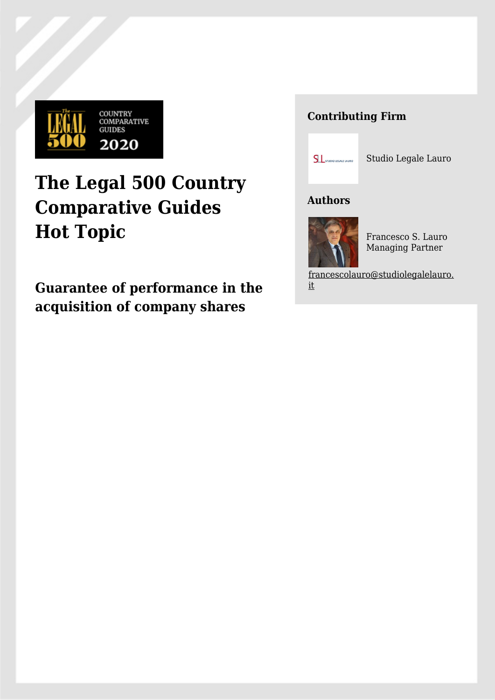

# **The Legal 500 Country Comparative Guides Hot Topic**

**Guarantee of performance in the acquisition of company shares**

## **Contributing Firm**



Studio Legale Lauro

### **Authors**



Francesco S. Lauro Managing Partner

[francescolauro@studiolegalelauro.](mailto:francescolauro@studiolegalelauro.it) [it](mailto:francescolauro@studiolegalelauro.it)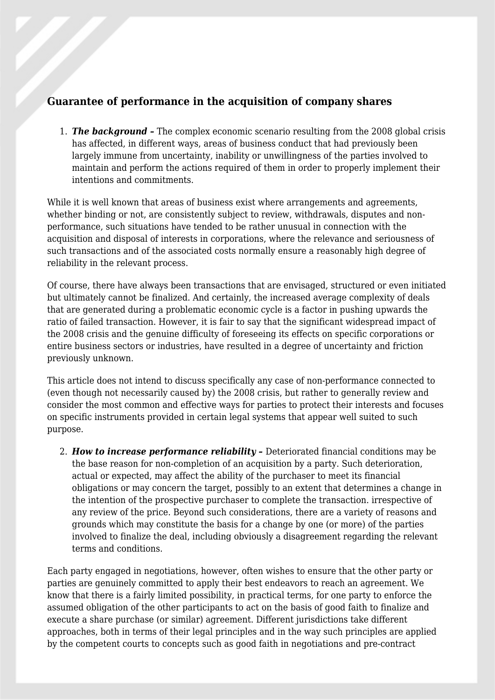#### **Guarantee of performance in the acquisition of company shares**

1. *The background –* The complex economic scenario resulting from the 2008 global crisis has affected, in different ways, areas of business conduct that had previously been largely immune from uncertainty, inability or unwillingness of the parties involved to maintain and perform the actions required of them in order to properly implement their intentions and commitments.

While it is well known that areas of business exist where arrangements and agreements, whether binding or not, are consistently subject to review, withdrawals, disputes and nonperformance, such situations have tended to be rather unusual in connection with the acquisition and disposal of interests in corporations, where the relevance and seriousness of such transactions and of the associated costs normally ensure a reasonably high degree of reliability in the relevant process.

Of course, there have always been transactions that are envisaged, structured or even initiated but ultimately cannot be finalized. And certainly, the increased average complexity of deals that are generated during a problematic economic cycle is a factor in pushing upwards the ratio of failed transaction. However, it is fair to say that the significant widespread impact of the 2008 crisis and the genuine difficulty of foreseeing its effects on specific corporations or entire business sectors or industries, have resulted in a degree of uncertainty and friction previously unknown.

This article does not intend to discuss specifically any case of non-performance connected to (even though not necessarily caused by) the 2008 crisis, but rather to generally review and consider the most common and effective ways for parties to protect their interests and focuses on specific instruments provided in certain legal systems that appear well suited to such purpose.

2. *How to increase performance reliability –* Deteriorated financial conditions may be the base reason for non-completion of an acquisition by a party. Such deterioration, actual or expected, may affect the ability of the purchaser to meet its financial obligations or may concern the target, possibly to an extent that determines a change in the intention of the prospective purchaser to complete the transaction. irrespective of any review of the price. Beyond such considerations, there are a variety of reasons and grounds which may constitute the basis for a change by one (or more) of the parties involved to finalize the deal, including obviously a disagreement regarding the relevant terms and conditions.

Each party engaged in negotiations, however, often wishes to ensure that the other party or parties are genuinely committed to apply their best endeavors to reach an agreement. We know that there is a fairly limited possibility, in practical terms, for one party to enforce the assumed obligation of the other participants to act on the basis of good faith to finalize and execute a share purchase (or similar) agreement. Different jurisdictions take different approaches, both in terms of their legal principles and in the way such principles are applied by the competent courts to concepts such as good faith in negotiations and pre-contract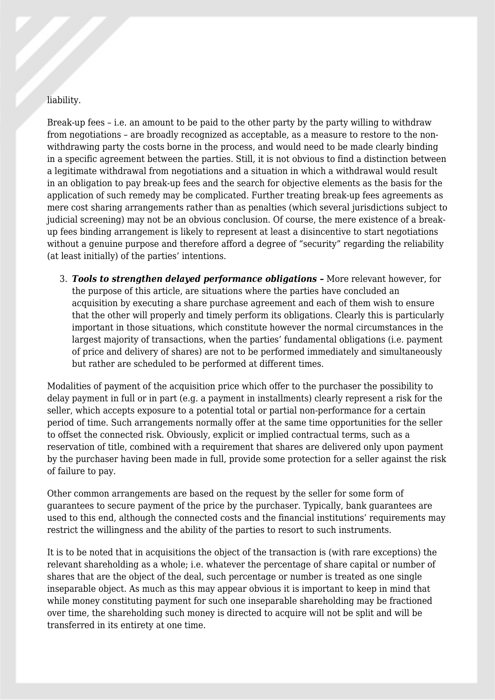#### liability.

Break-up fees – i.e. an amount to be paid to the other party by the party willing to withdraw from negotiations – are broadly recognized as acceptable, as a measure to restore to the nonwithdrawing party the costs borne in the process, and would need to be made clearly binding in a specific agreement between the parties. Still, it is not obvious to find a distinction between a legitimate withdrawal from negotiations and a situation in which a withdrawal would result in an obligation to pay break-up fees and the search for objective elements as the basis for the application of such remedy may be complicated. Further treating break-up fees agreements as mere cost sharing arrangements rather than as penalties (which several jurisdictions subject to judicial screening) may not be an obvious conclusion. Of course, the mere existence of a breakup fees binding arrangement is likely to represent at least a disincentive to start negotiations without a genuine purpose and therefore afford a degree of "security" regarding the reliability (at least initially) of the parties' intentions.

3. *Tools to strengthen delayed performance obligations –* More relevant however, for the purpose of this article, are situations where the parties have concluded an acquisition by executing a share purchase agreement and each of them wish to ensure that the other will properly and timely perform its obligations. Clearly this is particularly important in those situations, which constitute however the normal circumstances in the largest majority of transactions, when the parties' fundamental obligations (i.e. payment of price and delivery of shares) are not to be performed immediately and simultaneously but rather are scheduled to be performed at different times.

Modalities of payment of the acquisition price which offer to the purchaser the possibility to delay payment in full or in part (e.g. a payment in installments) clearly represent a risk for the seller, which accepts exposure to a potential total or partial non-performance for a certain period of time. Such arrangements normally offer at the same time opportunities for the seller to offset the connected risk. Obviously, explicit or implied contractual terms, such as a reservation of title, combined with a requirement that shares are delivered only upon payment by the purchaser having been made in full, provide some protection for a seller against the risk of failure to pay.

Other common arrangements are based on the request by the seller for some form of guarantees to secure payment of the price by the purchaser. Typically, bank guarantees are used to this end, although the connected costs and the financial institutions' requirements may restrict the willingness and the ability of the parties to resort to such instruments.

It is to be noted that in acquisitions the object of the transaction is (with rare exceptions) the relevant shareholding as a whole; i.e. whatever the percentage of share capital or number of shares that are the object of the deal, such percentage or number is treated as one single inseparable object. As much as this may appear obvious it is important to keep in mind that while money constituting payment for such one inseparable shareholding may be fractioned over time, the shareholding such money is directed to acquire will not be split and will be transferred in its entirety at one time.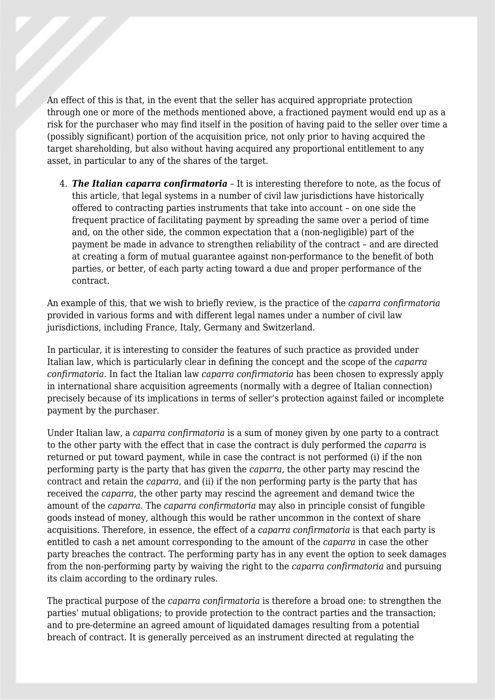An effect of this is that, in the event that the seller has acquired appropriate protection through one or more of the methods mentioned above, a fractioned payment would end up as a risk for the purchaser who may find itself in the position of having paid to the seller over time a (possibly significant) portion of the acquisition price, not only prior to having acquired the target shareholding, but also without having acquired any proportional entitlement to any asset, in particular to any of the shares of the target.

4. *The Italian caparra confirmatoria* – It is interesting therefore to note, as the focus of this article, that legal systems in a number of civil law jurisdictions have historically offered to contracting parties instruments that take into account – on one side the frequent practice of facilitating payment by spreading the same over a period of time and, on the other side, the common expectation that a (non-negligible) part of the payment be made in advance to strengthen reliability of the contract – and are directed at creating a form of mutual guarantee against non-performance to the benefit of both parties, or better, of each party acting toward a due and proper performance of the contract.

An example of this, that we wish to briefly review, is the practice of the *caparra confirmatoria* provided in various forms and with different legal names under a number of civil law jurisdictions, including France, Italy, Germany and Switzerland.

In particular, it is interesting to consider the features of such practice as provided under Italian law, which is particularly clear in defining the concept and the scope of the *caparra confirmatoria*. In fact the Italian law *caparra confirmatoria* has been chosen to expressly apply in international share acquisition agreements (normally with a degree of Italian connection) precisely because of its implications in terms of seller's protection against failed or incomplete payment by the purchaser.

Under Italian law, a *caparra confirmatoria* is a sum of money given by one party to a contract to the other party with the effect that in case the contract is duly performed the *caparra* is returned or put toward payment, while in case the contract is not performed (i) if the non performing party is the party that has given the *caparra*, the other party may rescind the contract and retain the *caparra*, and (ii) if the non performing party is the party that has received the *caparra*, the other party may rescind the agreement and demand twice the amount of the *caparra*. The *caparra confirmatoria* may also in principle consist of fungible goods instead of money, although this would be rather uncommon in the context of share acquisitions. Therefore, in essence, the effect of a *caparra confirmatoria* is that each party is entitled to cash a net amount corresponding to the amount of the *caparra* in case the other party breaches the contract. The performing party has in any event the option to seek damages from the non-performing party by waiving the right to the *caparra confirmatoria* and pursuing its claim according to the ordinary rules.

The practical purpose of the *caparra confirmatoria* is therefore a broad one: to strengthen the parties' mutual obligations; to provide protection to the contract parties and the transaction; and to pre-determine an agreed amount of liquidated damages resulting from a potential breach of contract. It is generally perceived as an instrument directed at regulating the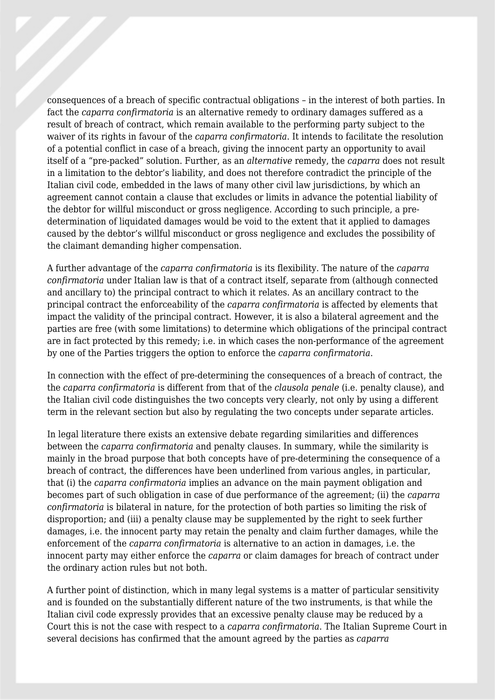consequences of a breach of specific contractual obligations – in the interest of both parties. In fact the *caparra confirmatoria* is an alternative remedy to ordinary damages suffered as a result of breach of contract, which remain available to the performing party subject to the waiver of its rights in favour of the *caparra confirmatoria*. It intends to facilitate the resolution of a potential conflict in case of a breach, giving the innocent party an opportunity to avail itself of a "pre-packed" solution. Further, as an *alternative* remedy, the *caparra* does not result in a limitation to the debtor's liability, and does not therefore contradict the principle of the Italian civil code, embedded in the laws of many other civil law jurisdictions, by which an agreement cannot contain a clause that excludes or limits in advance the potential liability of the debtor for willful misconduct or gross negligence. According to such principle, a predetermination of liquidated damages would be void to the extent that it applied to damages caused by the debtor's willful misconduct or gross negligence and excludes the possibility of the claimant demanding higher compensation.

A further advantage of the *caparra confirmatoria* is its flexibility. The nature of the *caparra confirmatoria* under Italian law is that of a contract itself, separate from (although connected and ancillary to) the principal contract to which it relates. As an ancillary contract to the principal contract the enforceability of the *caparra confirmatoria* is affected by elements that impact the validity of the principal contract. However, it is also a bilateral agreement and the parties are free (with some limitations) to determine which obligations of the principal contract are in fact protected by this remedy; i.e. in which cases the non-performance of the agreement by one of the Parties triggers the option to enforce the *caparra confirmatoria*.

In connection with the effect of pre-determining the consequences of a breach of contract, the the *caparra confirmatoria* is different from that of the *clausola penale* (i.e. penalty clause), and the Italian civil code distinguishes the two concepts very clearly, not only by using a different term in the relevant section but also by regulating the two concepts under separate articles.

In legal literature there exists an extensive debate regarding similarities and differences between the *caparra confirmatoria* and penalty clauses. In summary, while the similarity is mainly in the broad purpose that both concepts have of pre-determining the consequence of a breach of contract, the differences have been underlined from various angles, in particular, that (i) the *caparra confirmatoria* implies an advance on the main payment obligation and becomes part of such obligation in case of due performance of the agreement; (ii) the *caparra confirmatoria* is bilateral in nature, for the protection of both parties so limiting the risk of disproportion; and (iii) a penalty clause may be supplemented by the right to seek further damages, i.e. the innocent party may retain the penalty and claim further damages, while the enforcement of the *caparra confirmatoria* is alternative to an action in damages, i.e. the innocent party may either enforce the *caparra* or claim damages for breach of contract under the ordinary action rules but not both.

A further point of distinction, which in many legal systems is a matter of particular sensitivity and is founded on the substantially different nature of the two instruments, is that while the Italian civil code expressly provides that an excessive penalty clause may be reduced by a Court this is not the case with respect to a *caparra confirmatoria*. The Italian Supreme Court in several decisions has confirmed that the amount agreed by the parties as *caparra*